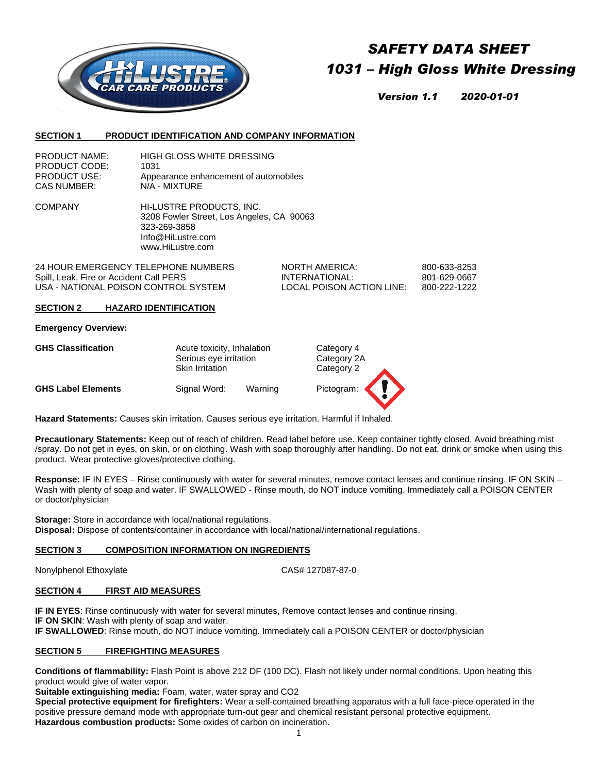

# *SAFETY DATA SHEET 1031 – High Gloss White Dressing*

*Version 1.1 2020-01-01*

#### **SECTION 1 PRODUCT IDENTIFICATION AND COMPANY INFORMATION**

| <b>PRODUCT NAME:</b> | HIGH GLOSS WHITE DRESSING             |
|----------------------|---------------------------------------|
| PRODUCT CODE:        | 1031                                  |
| <b>PRODUCT USE:</b>  | Appearance enhancement of automobiles |
| CAS NUMBER:          | N/A - MIXTURE                         |

COMPANY HI-LUSTRE PRODUCTS, INC. 3208 Fowler Street, Los Angeles, CA 90063 323-269-3858 Info@HiLustre.com www.HiLustre.com

24 HOUR EMERGENCY TELEPHONE NUMBERS NORTH AMERICA: 800-633-8253 Spill, Leak, Fire or Accident Call PERS **INTERNATIONAL:** 801-629-0667 USA - NATIONAL POISON CONTROL SYSTEM LOCAL POISON ACTION LINE: 800-222-1222

#### **SECTION 2 HAZARD IDENTIFICATION**

### **Emergency Overview:**

| <b>GHS Classification</b> | Acute toxicity, Inhalation<br>Serious eye irritation<br><b>Skin Irritation</b> |         | Category 4<br>Category 2A<br>Category 2 |  |
|---------------------------|--------------------------------------------------------------------------------|---------|-----------------------------------------|--|
| <b>GHS Label Elements</b> | Signal Word:                                                                   | Warning | Pictogram:                              |  |

**Hazard Statements:** Causes skin irritation. Causes serious eye irritation. Harmful if Inhaled.

**Precautionary Statements:** Keep out of reach of children. Read label before use. Keep container tightly closed. Avoid breathing mist /spray. Do not get in eyes, on skin, or on clothing. Wash with soap thoroughly after handling. Do not eat, drink or smoke when using this product. Wear protective gloves/protective clothing.

**Response:** IF IN EYES – Rinse continuously with water for several minutes, remove contact lenses and continue rinsing. IF ON SKIN – Wash with plenty of soap and water. IF SWALLOWED - Rinse mouth, do NOT induce vomiting. Immediately call a POISON CENTER or doctor/physician

**Storage:** Store in accordance with local/national regulations. **Disposal:** Dispose of contents/container in accordance with local/national/international regulations.

## **SECTION 3 COMPOSITION INFORMATION ON INGREDIENTS**

Nonylphenol Ethoxylate CAS# 127087-87-0

## **SECTION 4 FIRST AID MEASURES**

**IF IN EYES**: Rinse continuously with water for several minutes, Remove contact lenses and continue rinsing. **IF ON SKIN:** Wash with plenty of soap and water. **IF SWALLOWED**: Rinse mouth, do NOT induce vomiting. Immediately call a POISON CENTER or doctor/physician

## **SECTION 5 FIREFIGHTING MEASURES**

**Conditions of flammability:** Flash Point is above 212 DF (100 DC). Flash not likely under normal conditions. Upon heating this product would give of water vapor.

**Suitable extinguishing media:** Foam, water, water spray and CO2

**Special protective equipment for firefighters:** Wear a self-contained breathing apparatus with a full face-piece operated in the positive pressure demand mode with appropriate turn-out gear and chemical resistant personal protective equipment. **Hazardous combustion products:** Some oxides of carbon on incineration.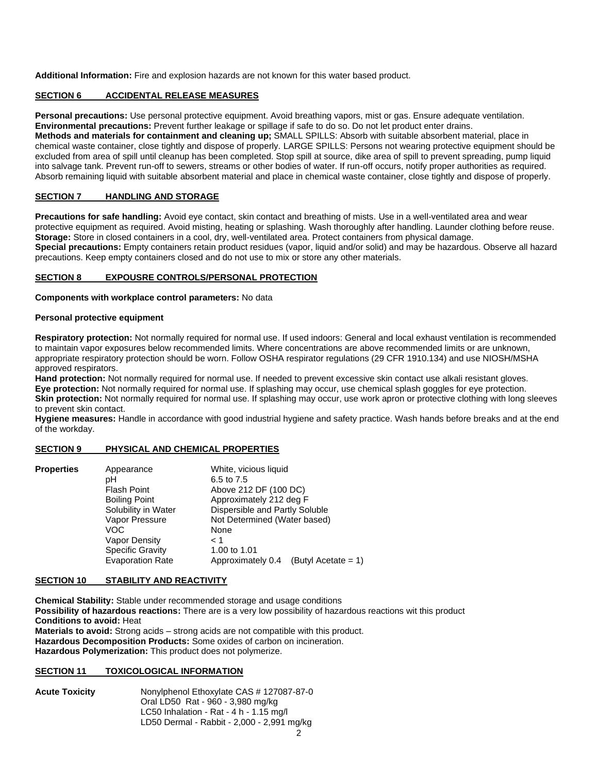**Additional Information:** Fire and explosion hazards are not known for this water based product.

# **SECTION 6 ACCIDENTAL RELEASE MEASURES**

**Personal precautions:** Use personal protective equipment. Avoid breathing vapors, mist or gas. Ensure adequate ventilation. **Environmental precautions:** Prevent further leakage or spillage if safe to do so. Do not let product enter drains. **Methods and materials for containment and cleaning up;** SMALL SPILLS: Absorb with suitable absorbent material, place in chemical waste container, close tightly and dispose of properly. LARGE SPILLS: Persons not wearing protective equipment should be excluded from area of spill until cleanup has been completed. Stop spill at source, dike area of spill to prevent spreading, pump liquid into salvage tank. Prevent run-off to sewers, streams or other bodies of water. If run-off occurs, notify proper authorities as required. Absorb remaining liquid with suitable absorbent material and place in chemical waste container, close tightly and dispose of properly.

# **SECTION 7 HANDLING AND STORAGE**

**Precautions for safe handling:** Avoid eye contact, skin contact and breathing of mists. Use in a well-ventilated area and wear protective equipment as required. Avoid misting, heating or splashing. Wash thoroughly after handling. Launder clothing before reuse. **Storage:** Store in closed containers in a cool, dry, well-ventilated area. Protect containers from physical damage. **Special precautions:** Empty containers retain product residues (vapor, liquid and/or solid) and may be hazardous. Observe all hazard precautions. Keep empty containers closed and do not use to mix or store any other materials.

# **SECTION 8 EXPOUSRE CONTROLS/PERSONAL PROTECTION**

**Components with workplace control parameters:** No data

## **Personal protective equipment**

**Respiratory protection:** Not normally required for normal use. If used indoors: General and local exhaust ventilation is recommended to maintain vapor exposures below recommended limits. Where concentrations are above recommended limits or are unknown, appropriate respiratory protection should be worn. Follow OSHA respirator regulations (29 CFR 1910.134) and use NIOSH/MSHA approved respirators.

**Hand protection:** Not normally required for normal use. If needed to prevent excessive skin contact use alkali resistant gloves. **Eye protection:** Not normally required for normal use. If splashing may occur, use chemical splash goggles for eye protection. Skin protection: Not normally required for normal use. If splashing may occur, use work apron or protective clothing with long sleeves to prevent skin contact.

**Hygiene measures:** Handle in accordance with good industrial hygiene and safety practice. Wash hands before breaks and at the end of the workday.

# **SECTION 9 PHYSICAL AND CHEMICAL PROPERTIES**

| <b>Properties</b> | Appearance<br>pН<br><b>Flash Point</b><br><b>Boiling Point</b><br>Solubility in Water<br>Vapor Pressure<br>VOC.<br>Vapor Density<br><b>Specific Gravity</b><br><b>Evaporation Rate</b> | White, vicious liquid<br>6.5 to 7.5<br>Above 212 DF (100 DC)<br>Approximately 212 deg F<br>Dispersible and Partly Soluble<br>Not Determined (Water based)<br>None<br>1 ><br>1.00 to 1.01<br>Approximately 0.4<br>(Butyl Acetate = $1$ ) |
|-------------------|----------------------------------------------------------------------------------------------------------------------------------------------------------------------------------------|-----------------------------------------------------------------------------------------------------------------------------------------------------------------------------------------------------------------------------------------|
|                   |                                                                                                                                                                                        |                                                                                                                                                                                                                                         |

## **SECTION 10 STABILITY AND REACTIVITY**

**Chemical Stability:** Stable under recommended storage and usage conditions **Possibility of hazardous reactions:** There are is a very low possibility of hazardous reactions wit this product **Conditions to avoid:** Heat **Materials to avoid:** Strong acids – strong acids are not compatible with this product. **Hazardous Decomposition Products:** Some oxides of carbon on incineration. **Hazardous Polymerization:** This product does not polymerize.

## **SECTION 11 TOXICOLOGICAL INFORMATION**

**Acute Toxicity** Nonylphenol Ethoxylate CAS # 127087-87-0 Oral LD50 Rat - 960 - 3,980 mg/kg LC50 Inhalation - Rat - 4 h - 1.15 mg/l LD50 Dermal - Rabbit - 2,000 - 2,991 mg/kg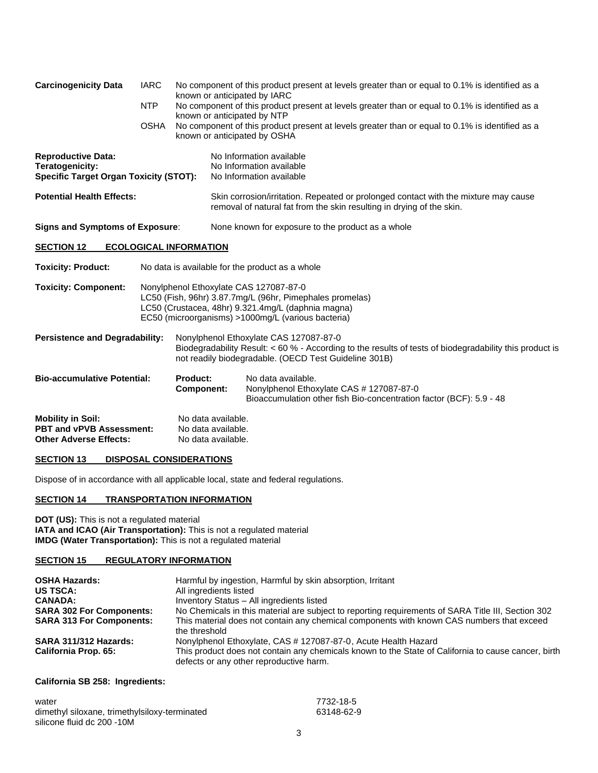| <b>Carcinogenicity Data</b>                                                                   | <b>IARC</b> | No component of this product present at levels greater than or equal to 0.1% is identified as a                                 |                                                                                                                                                                                                                |  |  |
|-----------------------------------------------------------------------------------------------|-------------|---------------------------------------------------------------------------------------------------------------------------------|----------------------------------------------------------------------------------------------------------------------------------------------------------------------------------------------------------------|--|--|
|                                                                                               | <b>NTP</b>  | known or anticipated by IARC<br>No component of this product present at levels greater than or equal to 0.1% is identified as a |                                                                                                                                                                                                                |  |  |
|                                                                                               | <b>OSHA</b> | known or anticipated by NTP<br>known or anticipated by OSHA                                                                     | No component of this product present at levels greater than or equal to 0.1% is identified as a                                                                                                                |  |  |
| <b>Reproductive Data:</b><br>Teratogenicity:<br><b>Specific Target Organ Toxicity (STOT):</b> |             |                                                                                                                                 | No Information available<br>No Information available<br>No Information available                                                                                                                               |  |  |
| <b>Potential Health Effects:</b>                                                              |             |                                                                                                                                 | Skin corrosion/irritation. Repeated or prolonged contact with the mixture may cause<br>removal of natural fat from the skin resulting in drying of the skin.                                                   |  |  |
| <b>Signs and Symptoms of Exposure:</b>                                                        |             |                                                                                                                                 | None known for exposure to the product as a whole                                                                                                                                                              |  |  |
| <b>SECTION 12</b>                                                                             |             | <b>ECOLOGICAL INFORMATION</b>                                                                                                   |                                                                                                                                                                                                                |  |  |
| <b>Toxicity: Product:</b>                                                                     |             |                                                                                                                                 | No data is available for the product as a whole                                                                                                                                                                |  |  |
| <b>Toxicity: Component:</b>                                                                   |             |                                                                                                                                 | Nonylphenol Ethoxylate CAS 127087-87-0<br>LC50 (Fish, 96hr) 3.87.7mg/L (96hr, Pimephales promelas)<br>LC50 (Crustacea, 48hr) 9.321.4mg/L (daphnia magna)<br>EC50 (microorganisms) >1000mg/L (various bacteria) |  |  |
| <b>Persistence and Degradability:</b>                                                         |             |                                                                                                                                 | Nonylphenol Ethoxylate CAS 127087-87-0<br>Biodegradability Result: < 60 % - According to the results of tests of biodegradability this product is<br>not readily biodegradable. (OECD Test Guideline 301B)     |  |  |
| <b>Bio-accumulative Potential:</b>                                                            |             | <b>Product:</b><br><b>Component:</b>                                                                                            | No data available.<br>Nonylphenol Ethoxylate CAS # 127087-87-0<br>Bioaccumulation other fish Bio-concentration factor (BCF): 5.9 - 48                                                                          |  |  |
| <b>Mobility in Soil:</b><br><b>PBT and vPVB Assessment:</b><br><b>Other Adverse Effects:</b>  |             | No data available.<br>No data available.<br>No data available.                                                                  |                                                                                                                                                                                                                |  |  |

# **SECTION 13 DISPOSAL CONSIDERATIONS**

Dispose of in accordance with all applicable local, state and federal regulations.

# **SECTION 14 TRANSPORTATION INFORMATION**

**DOT (US):** This is not a regulated material **IATA and ICAO (Air Transportation):** This is not a regulated material **IMDG (Water Transportation):** This is not a regulated material

# **SECTION 15 REGULATORY INFORMATION**

| <b>OSHA Hazards:</b><br><b>US TSCA:</b> | Harmful by ingestion, Harmful by skin absorption, Irritant<br>All ingredients listed                                                           |
|-----------------------------------------|------------------------------------------------------------------------------------------------------------------------------------------------|
| <b>CANADA:</b>                          | Inventory Status - All ingredients listed                                                                                                      |
| <b>SARA 302 For Components:</b>         | No Chemicals in this material are subject to reporting requirements of SARA Title III, Section 302                                             |
| <b>SARA 313 For Components:</b>         | This material does not contain any chemical components with known CAS numbers that exceed<br>the threshold                                     |
| <b>SARA 311/312 Hazards:</b>            | Nonylphenol Ethoxylate, CAS # 127087-87-0, Acute Health Hazard                                                                                 |
| California Prop. 65:                    | This product does not contain any chemicals known to the State of California to cause cancer, birth<br>defects or any other reproductive harm. |

# **California SB 258: Ingredients:**

| water                                         | 7732-18-5  |
|-----------------------------------------------|------------|
| dimethyl siloxane, trimethylsiloxy-terminated | 63148-62-9 |
| silicone fluid dc 200 -10M                    |            |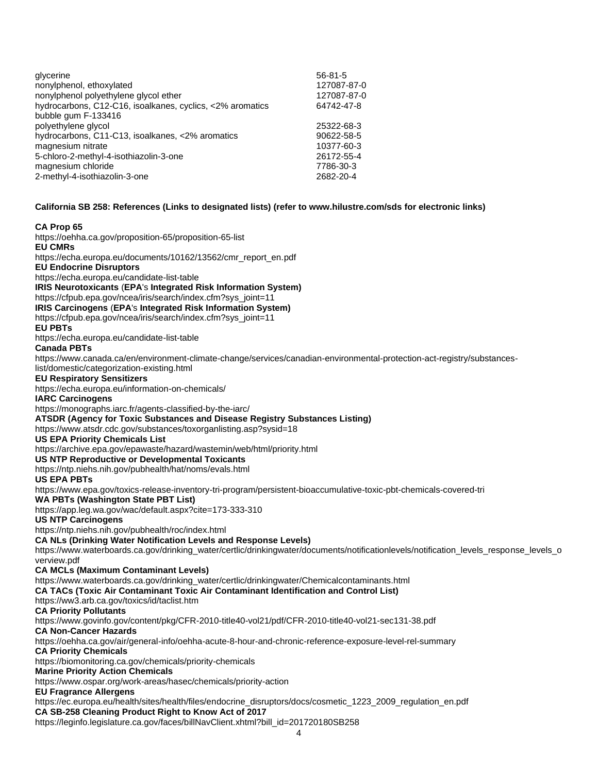| glycerine                                                 | $56 - 81 - 5$ |
|-----------------------------------------------------------|---------------|
| nonylphenol, ethoxylated                                  | 127087-87-0   |
| nonylphenol polyethylene glycol ether                     | 127087-87-0   |
| hydrocarbons, C12-C16, isoalkanes, cyclics, <2% aromatics | 64742-47-8    |
| bubble gum F-133416                                       |               |
| polyethylene glycol                                       | 25322-68-3    |
| hydrocarbons, C11-C13, isoalkanes, <2% aromatics          | 90622-58-5    |
| magnesium nitrate                                         | 10377-60-3    |
| 5-chloro-2-methyl-4-isothiazolin-3-one                    | 26172-55-4    |
| magnesium chloride                                        | 7786-30-3     |
| 2-methyl-4-isothiazolin-3-one                             | 2682-20-4     |
|                                                           |               |

#### **California SB 258: References (Links to designated lists) (refer t[o www.hilustre.com/sds](http://www.hilustre.com/sds) for electronic links)**

#### **CA Prop 65**

4 <https://oehha.ca.gov/proposition-65/proposition-65-list> **EU CMRs** [https://echa.europa.eu/documents/10162/13562/cmr\\_report\\_en.pdf](https://echa.europa.eu/documents/10162/13562/cmr_report_en.pdf) **EU Endocrine Disruptors** <https://echa.europa.eu/candidate-list-table> **IRIS Neurotoxicants** (**EPA**'s **Integrated Risk Information System)** [https://cfpub.epa.gov/ncea/iris/search/index.cfm?sys\\_joint=11](https://cfpub.epa.gov/ncea/iris/search/index.cfm?sys_joint=11) **IRIS Carcinogens** (**EPA**'s **Integrated Risk Information System)** [https://cfpub.epa.gov/ncea/iris/search/index.cfm?sys\\_joint=11](https://cfpub.epa.gov/ncea/iris/search/index.cfm?sys_joint=11) **EU PBTs** <https://echa.europa.eu/candidate-list-table> **Canada PBTs** [https://www.canada.ca/en/environment-climate-change/services/canadian-environmental-protection-act-registry/substances](https://www.canada.ca/en/environment-climate-change/services/canadian-environmental-protection-act-registry/substances-list/domestic/categorization-existing.html)[list/domestic/categorization-existing.html](https://www.canada.ca/en/environment-climate-change/services/canadian-environmental-protection-act-registry/substances-list/domestic/categorization-existing.html) **EU Respiratory Sensitizers** <https://echa.europa.eu/information-on-chemicals/> **IARC Carcinogens** <https://monographs.iarc.fr/agents-classified-by-the-iarc/> **ATSDR (Agency for Toxic Substances and Disease Registry Substances Listing)** <https://www.atsdr.cdc.gov/substances/toxorganlisting.asp?sysid=18> **US EPA Priority Chemicals List** <https://archive.epa.gov/epawaste/hazard/wastemin/web/html/priority.html> **US NTP Reproductive or Developmental Toxicants** <https://ntp.niehs.nih.gov/pubhealth/hat/noms/evals.html> **US EPA PBTs** <https://www.epa.gov/toxics-release-inventory-tri-program/persistent-bioaccumulative-toxic-pbt-chemicals-covered-tri> **WA PBTs (Washington State PBT List)** <https://app.leg.wa.gov/wac/default.aspx?cite=173-333-310> **US NTP Carcinogens** <https://ntp.niehs.nih.gov/pubhealth/roc/index.html> **CA NLs (Drinking Water Notification Levels and Response Levels)** [https://www.waterboards.ca.gov/drinking\\_water/certlic/drinkingwater/documents/notificationlevels/notification\\_levels\\_response\\_levels\\_o](https://www.waterboards.ca.gov/drinking_water/certlic/drinkingwater/documents/notificationlevels/notification_levels_response_levels_overview.pdf) [verview.pdf](https://www.waterboards.ca.gov/drinking_water/certlic/drinkingwater/documents/notificationlevels/notification_levels_response_levels_overview.pdf) **CA MCLs (Maximum Contaminant Levels)** [https://www.waterboards.ca.gov/drinking\\_water/certlic/drinkingwater/Chemicalcontaminants.html](https://www.waterboards.ca.gov/drinking_water/certlic/drinkingwater/Chemicalcontaminants.html) **CA TACs (Toxic Air Contaminant Toxic Air Contaminant Identification and Control List)** <https://ww3.arb.ca.gov/toxics/id/taclist.htm> **CA Priority Pollutants** <https://www.govinfo.gov/content/pkg/CFR-2010-title40-vol21/pdf/CFR-2010-title40-vol21-sec131-38.pdf> **CA Non-Cancer Hazards** <https://oehha.ca.gov/air/general-info/oehha-acute-8-hour-and-chronic-reference-exposure-level-rel-summary> **CA Priority Chemicals** <https://biomonitoring.ca.gov/chemicals/priority-chemicals> **Marine Priority Action Chemicals**  <https://www.ospar.org/work-areas/hasec/chemicals/priority-action> **EU Fragrance Allergens**  [https://ec.europa.eu/health/sites/health/files/endocrine\\_disruptors/docs/cosmetic\\_1223\\_2009\\_regulation\\_en.pdf](https://ec.europa.eu/health/sites/health/files/endocrine_disruptors/docs/cosmetic_%20%20%20%20%20%20%20%20%20%20%20%20%20%20%20%20%20%20%20%20%20%20%20%20%20%20%20%20%20%20%20%20%20%20%20%20%20%20%20%20%20%20%20%20%20%20%20%20%20%20%20%20%20%20%20%20%20%20%20%20%20%20%20%20%20%20%20%20%20%20%20%20%20%20%20%20%20%20%20%20%20%20%201223_2009_regulation_en.pdf) **CA SB-258 Cleaning Product Right to Know Act of 2017** [https://leginfo.legislature.ca.gov/faces/billNavClient.xhtml?bill\\_id=201720180SB258](https://leginfo.legislature.ca.gov/faces/billNavClient.xhtml?bill_id=201720180SB258)